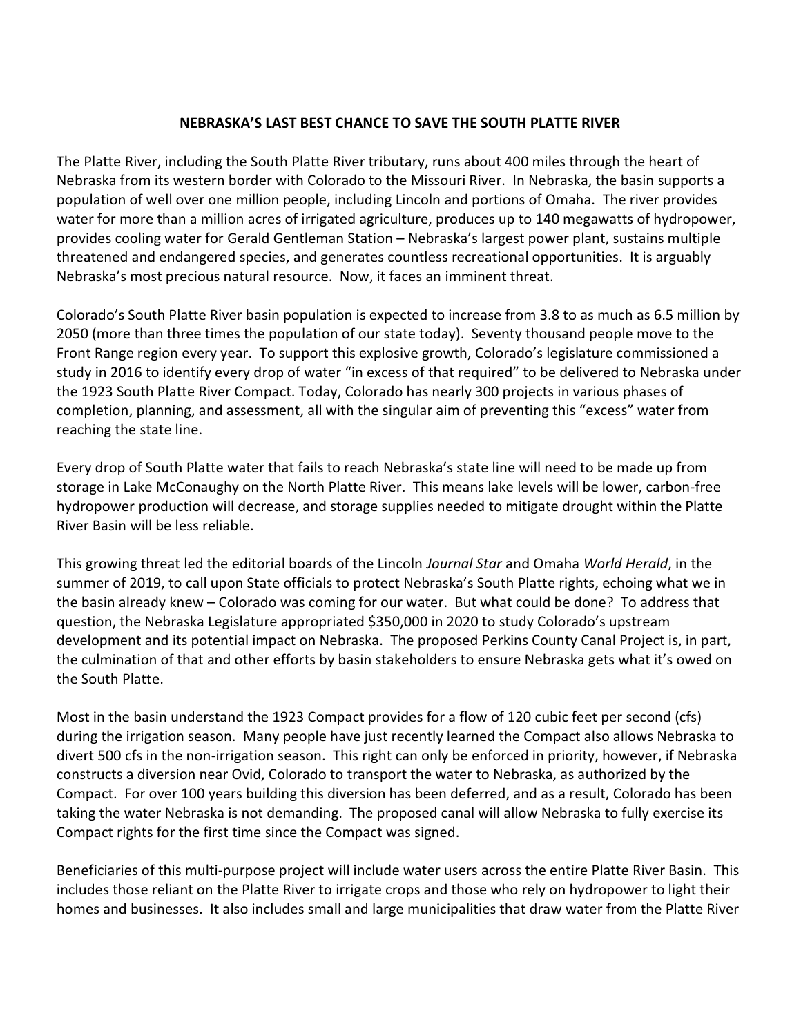## NEBRASKA'S LAST BEST CHANCE TO SAVE THE SOUTH PLATTE RIVER

The Platte River, including the South Platte River tributary, runs about 400 miles through the heart of Nebraska from its western border with Colorado to the Missouri River. In Nebraska, the basin supports a population of well over one million people, including Lincoln and portions of Omaha. The river provides water for more than a million acres of irrigated agriculture, produces up to 140 megawatts of hydropower, provides cooling water for Gerald Gentleman Station – Nebraska's largest power plant, sustains multiple threatened and endangered species, and generates countless recreational opportunities. It is arguably Nebraska's most precious natural resource. Now, it faces an imminent threat.

Colorado's South Platte River basin population is expected to increase from 3.8 to as much as 6.5 million by 2050 (more than three times the population of our state today). Seventy thousand people move to the Front Range region every year. To support this explosive growth, Colorado's legislature commissioned a study in 2016 to identify every drop of water "in excess of that required" to be delivered to Nebraska under the 1923 South Platte River Compact. Today, Colorado has nearly 300 projects in various phases of completion, planning, and assessment, all with the singular aim of preventing this "excess" water from reaching the state line.

Every drop of South Platte water that fails to reach Nebraska's state line will need to be made up from storage in Lake McConaughy on the North Platte River. This means lake levels will be lower, carbon-free hydropower production will decrease, and storage supplies needed to mitigate drought within the Platte River Basin will be less reliable.

This growing threat led the editorial boards of the Lincoln Journal Star and Omaha World Herald, in the summer of 2019, to call upon State officials to protect Nebraska's South Platte rights, echoing what we in the basin already knew – Colorado was coming for our water. But what could be done? To address that question, the Nebraska Legislature appropriated \$350,000 in 2020 to study Colorado's upstream development and its potential impact on Nebraska. The proposed Perkins County Canal Project is, in part, the culmination of that and other efforts by basin stakeholders to ensure Nebraska gets what it's owed on the South Platte.

Most in the basin understand the 1923 Compact provides for a flow of 120 cubic feet per second (cfs) during the irrigation season. Many people have just recently learned the Compact also allows Nebraska to divert 500 cfs in the non-irrigation season. This right can only be enforced in priority, however, if Nebraska constructs a diversion near Ovid, Colorado to transport the water to Nebraska, as authorized by the Compact. For over 100 years building this diversion has been deferred, and as a result, Colorado has been taking the water Nebraska is not demanding. The proposed canal will allow Nebraska to fully exercise its Compact rights for the first time since the Compact was signed.

Beneficiaries of this multi-purpose project will include water users across the entire Platte River Basin. This includes those reliant on the Platte River to irrigate crops and those who rely on hydropower to light their homes and businesses. It also includes small and large municipalities that draw water from the Platte River